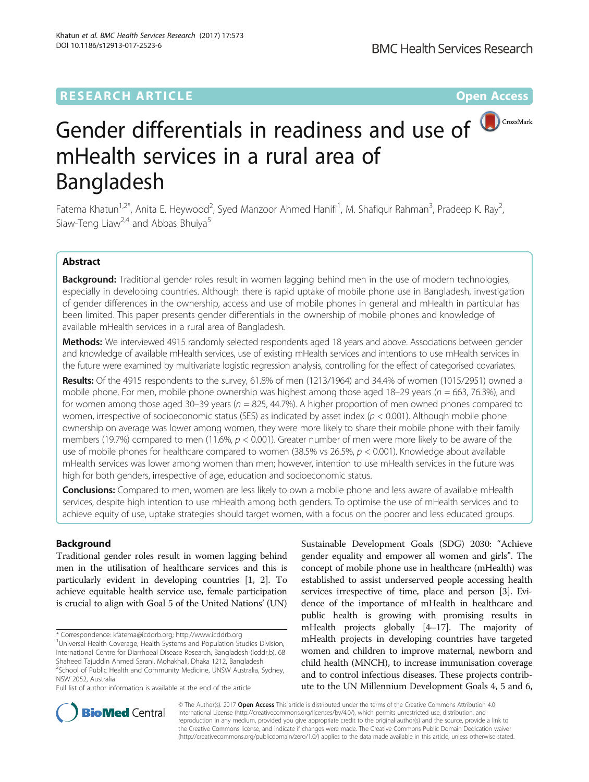## **RESEARCH ARTICLE Example 2014 12:30 The Contract of Contract ACCESS**

# Gender differentials in readiness and use of **D**CrossMark mHealth services in a rural area of Bangladesh

Fatema Khatun<sup>1,2\*</sup>, Anita E. Heywood<sup>2</sup>, Syed Manzoor Ahmed Hanifi<sup>1</sup>, M. Shafiqur Rahman<sup>3</sup>, Pradeep K. Ray<sup>2</sup> , Siaw-Teng Liaw<sup>2,4</sup> and Abbas Bhuiya<sup>5</sup>

## Abstract

Background: Traditional gender roles result in women lagging behind men in the use of modern technologies, especially in developing countries. Although there is rapid uptake of mobile phone use in Bangladesh, investigation of gender differences in the ownership, access and use of mobile phones in general and mHealth in particular has been limited. This paper presents gender differentials in the ownership of mobile phones and knowledge of available mHealth services in a rural area of Bangladesh.

Methods: We interviewed 4915 randomly selected respondents aged 18 years and above. Associations between gender and knowledge of available mHealth services, use of existing mHealth services and intentions to use mHealth services in the future were examined by multivariate logistic regression analysis, controlling for the effect of categorised covariates.

Results: Of the 4915 respondents to the survey, 61.8% of men (1213/1964) and 34.4% of women (1015/2951) owned a mobile phone. For men, mobile phone ownership was highest among those aged 18–29 years ( $n = 663, 76.3\%$ ), and for women among those aged 30–39 years ( $n = 825$ , 44.7%). A higher proportion of men owned phones compared to women, irrespective of socioeconomic status (SES) as indicated by asset index ( $p < 0.001$ ). Although mobile phone ownership on average was lower among women, they were more likely to share their mobile phone with their family members (19.7%) compared to men (11.6%,  $p < 0.001$ ). Greater number of men were more likely to be aware of the use of mobile phones for healthcare compared to women (38.5% vs 26.5%,  $p < 0.001$ ). Knowledge about available mHealth services was lower among women than men; however, intention to use mHealth services in the future was high for both genders, irrespective of age, education and socioeconomic status.

Conclusions: Compared to men, women are less likely to own a mobile phone and less aware of available mHealth services, despite high intention to use mHealth among both genders. To optimise the use of mHealth services and to achieve equity of use, uptake strategies should target women, with a focus on the poorer and less educated groups.

## Background

Traditional gender roles result in women lagging behind men in the utilisation of healthcare services and this is particularly evident in developing countries [[1, 2](#page-9-0)]. To achieve equitable health service use, female participation is crucial to align with Goal 5 of the United Nations' (UN)

NSW 2052, Australia Full list of author information is available at the end of the article

Sustainable Development Goals (SDG) 2030: "Achieve gender equality and empower all women and girls". The concept of mobile phone use in healthcare (mHealth) was established to assist underserved people accessing health services irrespective of time, place and person [\[3](#page-9-0)]. Evidence of the importance of mHealth in healthcare and public health is growing with promising results in mHealth projects globally [[4](#page-9-0)–[17\]](#page-9-0). The majority of mHealth projects in developing countries have targeted women and children to improve maternal, newborn and child health (MNCH), to increase immunisation coverage and to control infectious diseases. These projects contribute to the UN Millennium Development Goals 4, 5 and 6,



© The Author(s). 2017 **Open Access** This article is distributed under the terms of the Creative Commons Attribution 4.0 International License [\(http://creativecommons.org/licenses/by/4.0/](http://creativecommons.org/licenses/by/4.0/)), which permits unrestricted use, distribution, and reproduction in any medium, provided you give appropriate credit to the original author(s) and the source, provide a link to the Creative Commons license, and indicate if changes were made. The Creative Commons Public Domain Dedication waiver [\(http://creativecommons.org/publicdomain/zero/1.0/](http://creativecommons.org/publicdomain/zero/1.0/)) applies to the data made available in this article, unless otherwise stated.

<sup>\*</sup> Correspondence: [kfatema@icddrb.org](mailto:kfatema@icddrb.org); <http://www.icddrb.org> <sup>1</sup>

<sup>&</sup>lt;sup>1</sup>Universal Health Coverage, Health Systems and Population Studies Division, International Centre for Diarrhoeal Disease Research, Bangladesh (icddr,b), 68 Shaheed Tajuddin Ahmed Sarani, Mohakhali, Dhaka 1212, Bangladesh <sup>2</sup>School of Public Health and Community Medicine, UNSW Australia, Sydney,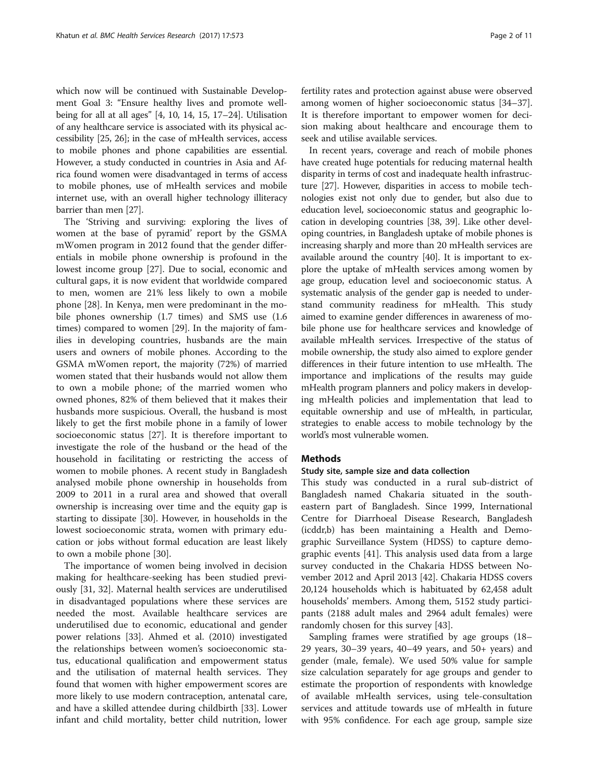which now will be continued with Sustainable Development Goal 3: "Ensure healthy lives and promote wellbeing for all at all ages" [[4, 10, 14, 15, 17](#page-9-0)–[24](#page-9-0)]. Utilisation of any healthcare service is associated with its physical accessibility [\[25, 26\]](#page-9-0); in the case of mHealth services, access to mobile phones and phone capabilities are essential. However, a study conducted in countries in Asia and Africa found women were disadvantaged in terms of access to mobile phones, use of mHealth services and mobile internet use, with an overall higher technology illiteracy barrier than men [\[27\]](#page-9-0).

The 'Striving and surviving: exploring the lives of women at the base of pyramid' report by the GSMA mWomen program in 2012 found that the gender differentials in mobile phone ownership is profound in the lowest income group [\[27](#page-9-0)]. Due to social, economic and cultural gaps, it is now evident that worldwide compared to men, women are 21% less likely to own a mobile phone [\[28](#page-9-0)]. In Kenya, men were predominant in the mobile phones ownership (1.7 times) and SMS use (1.6 times) compared to women [[29\]](#page-9-0). In the majority of families in developing countries, husbands are the main users and owners of mobile phones. According to the GSMA mWomen report, the majority (72%) of married women stated that their husbands would not allow them to own a mobile phone; of the married women who owned phones, 82% of them believed that it makes their husbands more suspicious. Overall, the husband is most likely to get the first mobile phone in a family of lower socioeconomic status [\[27](#page-9-0)]. It is therefore important to investigate the role of the husband or the head of the household in facilitating or restricting the access of women to mobile phones. A recent study in Bangladesh analysed mobile phone ownership in households from 2009 to 2011 in a rural area and showed that overall ownership is increasing over time and the equity gap is starting to dissipate [[30\]](#page-9-0). However, in households in the lowest socioeconomic strata, women with primary education or jobs without formal education are least likely to own a mobile phone [[30\]](#page-9-0).

The importance of women being involved in decision making for healthcare-seeking has been studied previously [\[31](#page-9-0), [32](#page-9-0)]. Maternal health services are underutilised in disadvantaged populations where these services are needed the most. Available healthcare services are underutilised due to economic, educational and gender power relations [[33\]](#page-9-0). Ahmed et al. (2010) investigated the relationships between women's socioeconomic status, educational qualification and empowerment status and the utilisation of maternal health services. They found that women with higher empowerment scores are more likely to use modern contraception, antenatal care, and have a skilled attendee during childbirth [[33\]](#page-9-0). Lower infant and child mortality, better child nutrition, lower fertility rates and protection against abuse were observed among women of higher socioeconomic status [[34](#page-9-0)–[37](#page-9-0)]. It is therefore important to empower women for decision making about healthcare and encourage them to seek and utilise available services.

In recent years, coverage and reach of mobile phones have created huge potentials for reducing maternal health disparity in terms of cost and inadequate health infrastructure [\[27\]](#page-9-0). However, disparities in access to mobile technologies exist not only due to gender, but also due to education level, socioeconomic status and geographic location in developing countries [[38, 39\]](#page-9-0). Like other developing countries, in Bangladesh uptake of mobile phones is increasing sharply and more than 20 mHealth services are available around the country [\[40\]](#page-9-0). It is important to explore the uptake of mHealth services among women by age group, education level and socioeconomic status. A systematic analysis of the gender gap is needed to understand community readiness for mHealth. This study aimed to examine gender differences in awareness of mobile phone use for healthcare services and knowledge of available mHealth services. Irrespective of the status of mobile ownership, the study also aimed to explore gender differences in their future intention to use mHealth. The importance and implications of the results may guide mHealth program planners and policy makers in developing mHealth policies and implementation that lead to equitable ownership and use of mHealth, in particular, strategies to enable access to mobile technology by the world's most vulnerable women.

## Methods

## Study site, sample size and data collection

This study was conducted in a rural sub-district of Bangladesh named Chakaria situated in the southeastern part of Bangladesh. Since 1999, International Centre for Diarrhoeal Disease Research, Bangladesh (icddr,b) has been maintaining a Health and Demographic Surveillance System (HDSS) to capture demographic events [[41\]](#page-10-0). This analysis used data from a large survey conducted in the Chakaria HDSS between November 2012 and April 2013 [[42\]](#page-10-0). Chakaria HDSS covers 20,124 households which is habituated by 62,458 adult households' members. Among them, 5152 study participants (2188 adult males and 2964 adult females) were randomly chosen for this survey [[43\]](#page-10-0).

Sampling frames were stratified by age groups (18– 29 years, 30–39 years, 40–49 years, and 50+ years) and gender (male, female). We used 50% value for sample size calculation separately for age groups and gender to estimate the proportion of respondents with knowledge of available mHealth services, using tele-consultation services and attitude towards use of mHealth in future with 95% confidence. For each age group, sample size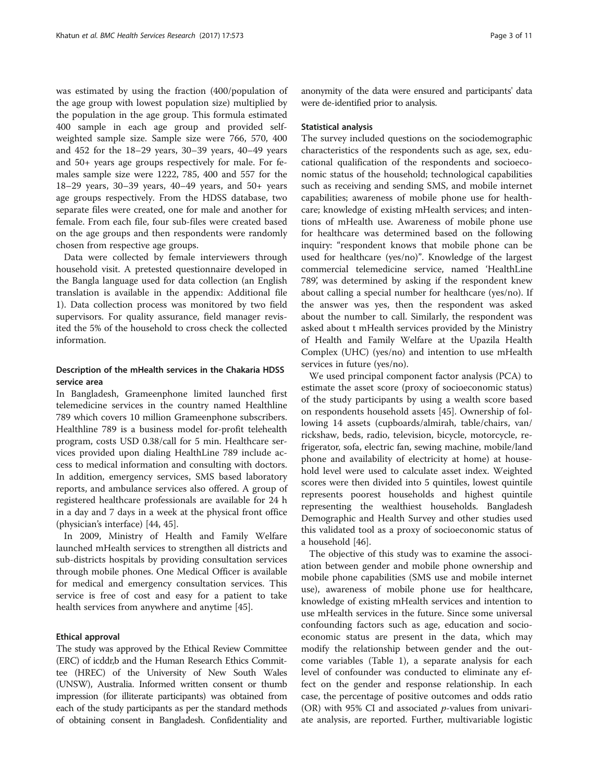was estimated by using the fraction (400/population of the age group with lowest population size) multiplied by the population in the age group. This formula estimated 400 sample in each age group and provided selfweighted sample size. Sample size were 766, 570, 400 and 452 for the 18–29 years, 30–39 years, 40–49 years and 50+ years age groups respectively for male. For females sample size were 1222, 785, 400 and 557 for the 18–29 years, 30–39 years, 40–49 years, and 50+ years age groups respectively. From the HDSS database, two separate files were created, one for male and another for female. From each file, four sub-files were created based on the age groups and then respondents were randomly chosen from respective age groups.

Data were collected by female interviewers through household visit. A pretested questionnaire developed in the Bangla language used for data collection (an English translation is available in the appendix: Additional file [1\)](#page-8-0). Data collection process was monitored by two field supervisors. For quality assurance, field manager revisited the 5% of the household to cross check the collected information.

## Description of the mHealth services in the Chakaria HDSS service area

In Bangladesh, Grameenphone limited launched first telemedicine services in the country named Healthline 789 which covers 10 million Grameenphone subscribers. Healthline 789 is a business model for-profit telehealth program, costs USD 0.38/call for 5 min. Healthcare services provided upon dialing HealthLine 789 include access to medical information and consulting with doctors. In addition, emergency services, SMS based laboratory reports, and ambulance services also offered. A group of registered healthcare professionals are available for 24 h in a day and 7 days in a week at the physical front office (physician's interface) [[44](#page-10-0), [45](#page-10-0)].

In 2009, Ministry of Health and Family Welfare launched mHealth services to strengthen all districts and sub-districts hospitals by providing consultation services through mobile phones. One Medical Officer is available for medical and emergency consultation services. This service is free of cost and easy for a patient to take health services from anywhere and anytime [[45\]](#page-10-0).

## Ethical approval

The study was approved by the Ethical Review Committee (ERC) of icddr,b and the Human Research Ethics Committee (HREC) of the University of New South Wales (UNSW), Australia. Informed written consent or thumb impression (for illiterate participants) was obtained from each of the study participants as per the standard methods of obtaining consent in Bangladesh. Confidentiality and anonymity of the data were ensured and participants' data were de-identified prior to analysis.

#### Statistical analysis

The survey included questions on the sociodemographic characteristics of the respondents such as age, sex, educational qualification of the respondents and socioeconomic status of the household; technological capabilities such as receiving and sending SMS, and mobile internet capabilities; awareness of mobile phone use for healthcare; knowledge of existing mHealth services; and intentions of mHealth use. Awareness of mobile phone use for healthcare was determined based on the following inquiry: "respondent knows that mobile phone can be used for healthcare (yes/no)". Knowledge of the largest commercial telemedicine service, named 'HealthLine 789', was determined by asking if the respondent knew about calling a special number for healthcare (yes/no). If the answer was yes, then the respondent was asked about the number to call. Similarly, the respondent was asked about t mHealth services provided by the Ministry of Health and Family Welfare at the Upazila Health Complex (UHC) (yes/no) and intention to use mHealth services in future (yes/no).

We used principal component factor analysis (PCA) to estimate the asset score (proxy of socioeconomic status) of the study participants by using a wealth score based on respondents household assets [[45\]](#page-10-0). Ownership of following 14 assets (cupboards/almirah, table/chairs, van/ rickshaw, beds, radio, television, bicycle, motorcycle, refrigerator, sofa, electric fan, sewing machine, mobile/land phone and availability of electricity at home) at household level were used to calculate asset index. Weighted scores were then divided into 5 quintiles, lowest quintile represents poorest households and highest quintile representing the wealthiest households. Bangladesh Demographic and Health Survey and other studies used this validated tool as a proxy of socioeconomic status of a household [\[46](#page-10-0)].

The objective of this study was to examine the association between gender and mobile phone ownership and mobile phone capabilities (SMS use and mobile internet use), awareness of mobile phone use for healthcare, knowledge of existing mHealth services and intention to use mHealth services in the future. Since some universal confounding factors such as age, education and socioeconomic status are present in the data, which may modify the relationship between gender and the outcome variables (Table [1](#page-3-0)), a separate analysis for each level of confounder was conducted to eliminate any effect on the gender and response relationship. In each case, the percentage of positive outcomes and odds ratio (OR) with 95% CI and associated  $p$ -values from univariate analysis, are reported. Further, multivariable logistic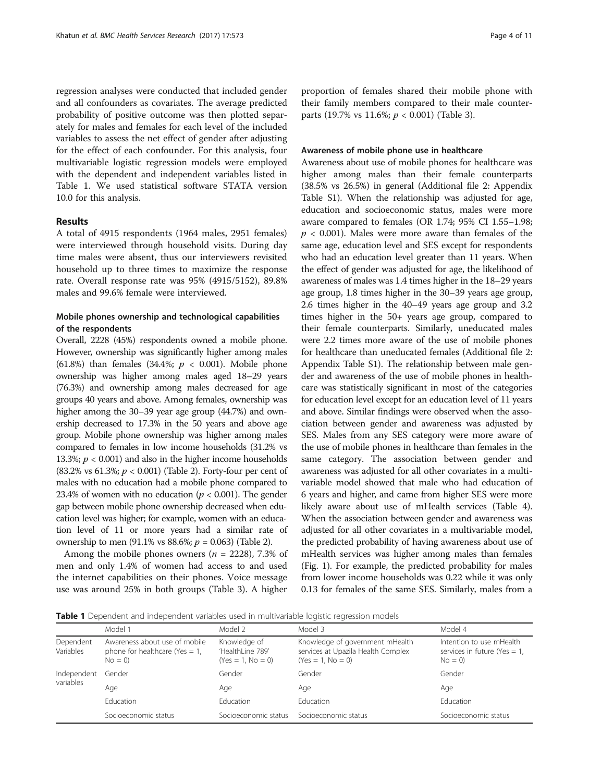<span id="page-3-0"></span>regression analyses were conducted that included gender and all confounders as covariates. The average predicted probability of positive outcome was then plotted separately for males and females for each level of the included variables to assess the net effect of gender after adjusting for the effect of each confounder. For this analysis, four multivariable logistic regression models were employed with the dependent and independent variables listed in Table 1. We used statistical software STATA version 10.0 for this analysis.

## Results

A total of 4915 respondents (1964 males, 2951 females) were interviewed through household visits. During day time males were absent, thus our interviewers revisited household up to three times to maximize the response rate. Overall response rate was 95% (4915/5152), 89.8% males and 99.6% female were interviewed.

## Mobile phones ownership and technological capabilities of the respondents

Overall, 2228 (45%) respondents owned a mobile phone. However, ownership was significantly higher among males (61.8%) than females (34.4%;  $p < 0.001$ ). Mobile phone ownership was higher among males aged 18–29 years (76.3%) and ownership among males decreased for age groups 40 years and above. Among females, ownership was higher among the 30–39 year age group  $(44.7%)$  and ownership decreased to 17.3% in the 50 years and above age group. Mobile phone ownership was higher among males compared to females in low income households (31.2% vs 13.3%;  $p < 0.001$ ) and also in the higher income households (83.2% vs 61.3%;  $p < 0.001$ ) (Table [2](#page-4-0)). Forty-four per cent of males with no education had a mobile phone compared to 23.4% of women with no education ( $p < 0.001$ ). The gender gap between mobile phone ownership decreased when education level was higher; for example, women with an education level of 11 or more years had a similar rate of ownership to men (91.1% vs 88.6%;  $p = 0.063$ ) (Table [2\)](#page-4-0).

Among the mobile phones owners ( $n = 2228$ ), 7.3% of men and only 1.4% of women had access to and used the internet capabilities on their phones. Voice message use was around 25% in both groups (Table [3\)](#page-4-0). A higher

proportion of females shared their mobile phone with their family members compared to their male counterparts (19.7% vs 11.6%;  $p < 0.001$ ) (Table [3](#page-4-0)).

## Awareness of mobile phone use in healthcare

Awareness about use of mobile phones for healthcare was higher among males than their female counterparts (38.5% vs 26.5%) in general (Additional file [2](#page-8-0): Appendix Table S1). When the relationship was adjusted for age, education and socioeconomic status, males were more aware compared to females (OR 1.74; 95% CI 1.55–1.98;  $p < 0.001$ ). Males were more aware than females of the same age, education level and SES except for respondents who had an education level greater than 11 years. When the effect of gender was adjusted for age, the likelihood of awareness of males was 1.4 times higher in the 18–29 years age group, 1.8 times higher in the 30–39 years age group, 2.6 times higher in the 40–49 years age group and 3.2 times higher in the 50+ years age group, compared to their female counterparts. Similarly, uneducated males were 2.2 times more aware of the use of mobile phones for healthcare than uneducated females (Additional file [2](#page-8-0): Appendix Table S1). The relationship between male gender and awareness of the use of mobile phones in healthcare was statistically significant in most of the categories for education level except for an education level of 11 years and above. Similar findings were observed when the association between gender and awareness was adjusted by SES. Males from any SES category were more aware of the use of mobile phones in healthcare than females in the same category. The association between gender and awareness was adjusted for all other covariates in a multivariable model showed that male who had education of 6 years and higher, and came from higher SES were more likely aware about use of mHealth services (Table [4](#page-5-0)). When the association between gender and awareness was adjusted for all other covariates in a multivariable model, the predicted probability of having awareness about use of mHealth services was higher among males than females (Fig. [1\)](#page-6-0). For example, the predicted probability for males from lower income households was 0.22 while it was only 0.13 for females of the same SES. Similarly, males from a

Table 1 Dependent and independent variables used in multivariable logistic regression models

|                        | Model 1                                                                        | Model 2                                                  | Model 3                                                                                      | Model 4                                                                 |
|------------------------|--------------------------------------------------------------------------------|----------------------------------------------------------|----------------------------------------------------------------------------------------------|-------------------------------------------------------------------------|
| Dependent<br>Variables | Awareness about use of mobile<br>phone for healthcare (Yes $= 1$ ,<br>$No = 0$ | Knowledge of<br>'Healthl ine 789'<br>$(Yes = 1, No = 0)$ | Knowledge of government mHealth<br>services at Upazila Health Complex<br>$(Yes = 1, No = 0)$ | Intention to use mHealth<br>services in future (Yes $= 1$ ,<br>$No = 0$ |
| Independent            | Gender                                                                         | Gender                                                   | Gender                                                                                       | Gender                                                                  |
| variables              | Age                                                                            | Age                                                      | Age                                                                                          | Age                                                                     |
|                        | Education                                                                      | Education                                                | <b>Education</b>                                                                             | <b>Education</b>                                                        |
|                        | Socioeconomic status                                                           | Socioeconomic status                                     | Socioeconomic status                                                                         | Socioeconomic status                                                    |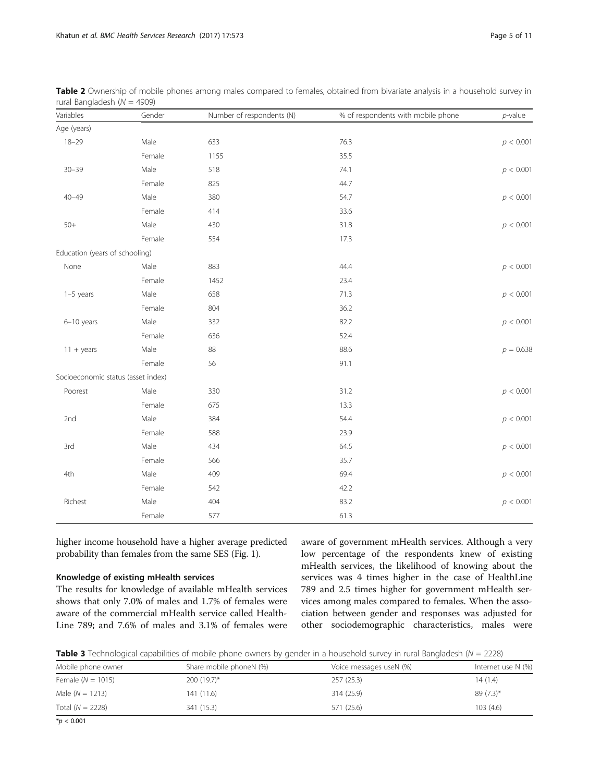| Variables                          | Gender | Number of respondents (N) | % of respondents with mobile phone | $p$ -value  |
|------------------------------------|--------|---------------------------|------------------------------------|-------------|
| Age (years)                        |        |                           |                                    |             |
| $18 - 29$                          | Male   | 633                       | 76.3                               | p < 0.001   |
|                                    | Female | 1155                      | 35.5                               |             |
| $30 - 39$                          | Male   | 518                       | 74.1                               | p < 0.001   |
|                                    | Female | 825                       | 44.7                               |             |
| $40 - 49$                          | Male   | 380                       | 54.7                               | p < 0.001   |
|                                    | Female | 414                       | 33.6                               |             |
| $50+$                              | Male   | 430                       | 31.8                               | p < 0.001   |
|                                    | Female | 554                       | 17.3                               |             |
| Education (years of schooling)     |        |                           |                                    |             |
| None                               | Male   | 883                       | 44.4                               | p < 0.001   |
|                                    | Female | 1452                      | 23.4                               |             |
| $1-5$ years                        | Male   | 658                       | 71.3                               | p < 0.001   |
|                                    | Female | 804                       | 36.2                               |             |
| $6-10$ years                       | Male   | 332                       | 82.2                               | p < 0.001   |
|                                    | Female | 636                       | 52.4                               |             |
| $11 + years$                       | Male   | 88                        | 88.6                               | $p = 0.638$ |
|                                    | Female | 56                        | 91.1                               |             |
| Socioeconomic status (asset index) |        |                           |                                    |             |
| Poorest                            | Male   | 330                       | 31.2                               | p < 0.001   |
|                                    | Female | 675                       | 13.3                               |             |
| 2nd                                | Male   | 384                       | 54.4                               | p < 0.001   |
|                                    | Female | 588                       | 23.9                               |             |
| 3rd                                | Male   | 434                       | 64.5                               | p < 0.001   |
|                                    | Female | 566                       | 35.7                               |             |
| 4th                                | Male   | 409                       | 69.4                               | p < 0.001   |
|                                    | Female | 542                       | 42.2                               |             |
| Richest                            | Male   | 404                       | 83.2                               | p < 0.001   |
|                                    | Female | 577                       | 61.3                               |             |

<span id="page-4-0"></span>Table 2 Ownership of mobile phones among males compared to females, obtained from bivariate analysis in a household survey in rural Bangladesh ( $N = 4909$ )

higher income household have a higher average predicted probability than females from the same SES (Fig. [1\)](#page-6-0).

## Knowledge of existing mHealth services

The results for knowledge of available mHealth services shows that only 7.0% of males and 1.7% of females were aware of the commercial mHealth service called Health-Line 789; and 7.6% of males and 3.1% of females were

aware of government mHealth services. Although a very low percentage of the respondents knew of existing mHealth services, the likelihood of knowing about the services was 4 times higher in the case of HealthLine 789 and 2.5 times higher for government mHealth services among males compared to females. When the association between gender and responses was adjusted for other sociodemographic characteristics, males were

**Table 3** Technological capabilities of mobile phone owners by gender in a household survey in rural Bangladesh ( $N = 2228$ )

| Mobile phone owner  | Share mobile phoneN (%) | Voice messages useN (%) | Internet use N (%) |
|---------------------|-------------------------|-------------------------|--------------------|
| Female $(N = 1015)$ | $200(19.7)^{*}$         | 257 (25.3)              | 14(1.4)            |
| Male $(N = 1213)$   | 141(11.6)               | 314 (25.9)              | $89(7.3)^*$        |
| Total $(N = 2228)$  | 341 (15.3)              | 571 (25.6)              | 103(4.6)           |

 $*$ p < 0.001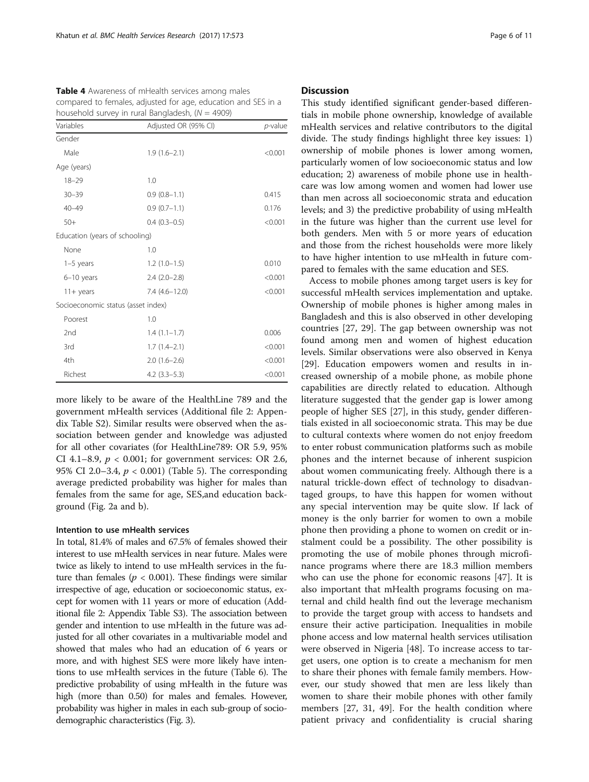<span id="page-5-0"></span>

| Table 4 Awareness of mHealth services among males             |
|---------------------------------------------------------------|
| compared to females, adjusted for age, education and SES in a |
| household survey in rural Bangladesh, $(N = 4909)$            |

| Variables                          | Adjusted OR (95% CI) | $p$ -value |
|------------------------------------|----------------------|------------|
| Gender                             |                      |            |
| Male                               | $1.9(1.6-2.1)$       | < 0.001    |
| Age (years)                        |                      |            |
| $18 - 29$                          | 1.0                  |            |
| $30 - 39$                          | $0.9(0.8-1.1)$       | 0.415      |
| $40 - 49$                          | $0.9(0.7-1.1)$       | 0.176      |
| $50+$                              | $0.4(0.3-0.5)$       | < 0.001    |
| Education (years of schooling)     |                      |            |
| None                               | 1.0                  |            |
| $1-5$ years                        | $1.2(1.0-1.5)$       | 0.010      |
| $6-10$ years                       | $2.4(2.0-2.8)$       | < 0.001    |
| $11+$ years                        | $7.4(4.6 - 12.0)$    | < 0.001    |
| Socioeconomic status (asset index) |                      |            |
| Poorest                            | 1.0                  |            |
| 2 <sub>nd</sub>                    | $1.4(1.1-1.7)$       | 0.006      |
| 3rd                                | $1.7(1.4-2.1)$       | < 0.001    |
| 4th                                | $2.0(1.6-2.6)$       | < 0.001    |
| Richest                            | $4.2$ (3.3-5.3)      | < 0.001    |

more likely to be aware of the HealthLine 789 and the government mHealth services (Additional file [2:](#page-8-0) Appendix Table S2). Similar results were observed when the association between gender and knowledge was adjusted for all other covariates (for HealthLine789: OR 5.9, 95% CI 4.1–8.9,  $p < 0.001$ ; for government services: OR 2.6, 95% CI 2.0–3.4,  $p < 0.001$ ) (Table [5\)](#page-6-0). The corresponding average predicted probability was higher for males than females from the same for age, SES,and education background (Fig. [2a and b](#page-7-0)).

## Intention to use mHealth services

In total, 81.4% of males and 67.5% of females showed their interest to use mHealth services in near future. Males were twice as likely to intend to use mHealth services in the future than females ( $p < 0.001$ ). These findings were similar irrespective of age, education or socioeconomic status, except for women with 11 years or more of education (Additional file [2](#page-8-0): Appendix Table S3). The association between gender and intention to use mHealth in the future was adjusted for all other covariates in a multivariable model and showed that males who had an education of 6 years or more, and with highest SES were more likely have intentions to use mHealth services in the future (Table [6](#page-7-0)). The predictive probability of using mHealth in the future was high (more than 0.50) for males and females. However, probability was higher in males in each sub-group of sociodemographic characteristics (Fig. [3](#page-8-0)).

## **Discussion**

This study identified significant gender-based differentials in mobile phone ownership, knowledge of available mHealth services and relative contributors to the digital divide. The study findings highlight three key issues: 1) ownership of mobile phones is lower among women, particularly women of low socioeconomic status and low education; 2) awareness of mobile phone use in healthcare was low among women and women had lower use than men across all socioeconomic strata and education levels; and 3) the predictive probability of using mHealth in the future was higher than the current use level for both genders. Men with 5 or more years of education and those from the richest households were more likely to have higher intention to use mHealth in future compared to females with the same education and SES.

Access to mobile phones among target users is key for successful mHealth services implementation and uptake. Ownership of mobile phones is higher among males in Bangladesh and this is also observed in other developing countries [[27](#page-9-0), [29](#page-9-0)]. The gap between ownership was not found among men and women of highest education levels. Similar observations were also observed in Kenya [[29\]](#page-9-0). Education empowers women and results in increased ownership of a mobile phone, as mobile phone capabilities are directly related to education. Although literature suggested that the gender gap is lower among people of higher SES [[27](#page-9-0)], in this study, gender differentials existed in all socioeconomic strata. This may be due to cultural contexts where women do not enjoy freedom to enter robust communication platforms such as mobile phones and the internet because of inherent suspicion about women communicating freely. Although there is a natural trickle-down effect of technology to disadvantaged groups, to have this happen for women without any special intervention may be quite slow. If lack of money is the only barrier for women to own a mobile phone then providing a phone to women on credit or instalment could be a possibility. The other possibility is promoting the use of mobile phones through microfinance programs where there are 18.3 million members who can use the phone for economic reasons [\[47](#page-10-0)]. It is also important that mHealth programs focusing on maternal and child health find out the leverage mechanism to provide the target group with access to handsets and ensure their active participation. Inequalities in mobile phone access and low maternal health services utilisation were observed in Nigeria [\[48](#page-10-0)]. To increase access to target users, one option is to create a mechanism for men to share their phones with female family members. However, our study showed that men are less likely than women to share their mobile phones with other family members [\[27](#page-9-0), [31,](#page-9-0) [49\]](#page-10-0). For the health condition where patient privacy and confidentiality is crucial sharing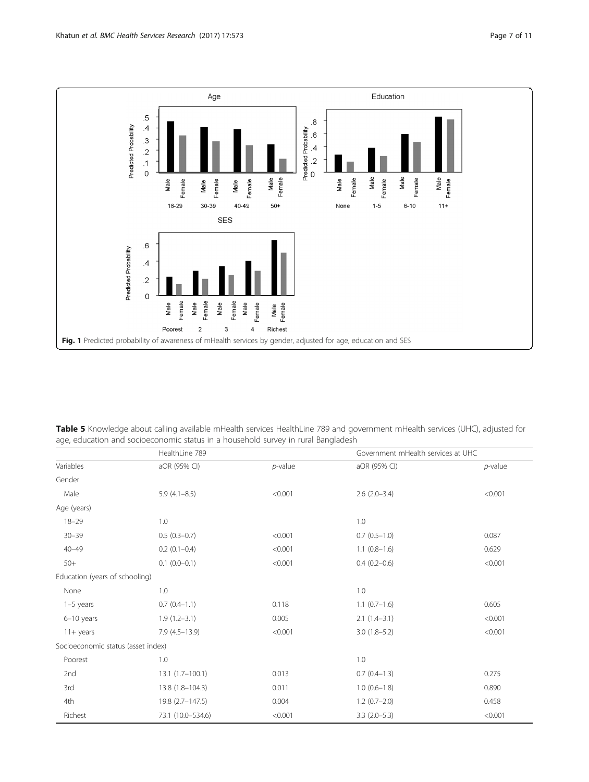<span id="page-6-0"></span>

Table 5 Knowledge about calling available mHealth services HealthLine 789 and government mHealth services (UHC), adjusted for age, education and socioeconomic status in a household survey in rural Bangladesh

|                                    | HealthLine 789      |            | Government mHealth services at UHC |            |
|------------------------------------|---------------------|------------|------------------------------------|------------|
| Variables                          | aOR (95% CI)        | $p$ -value | aOR (95% CI)                       | $p$ -value |
| Gender                             |                     |            |                                    |            |
| Male                               | $5.9(4.1 - 8.5)$    | < 0.001    | $2.6(2.0-3.4)$                     | < 0.001    |
| Age (years)                        |                     |            |                                    |            |
| $18 - 29$                          | 1.0                 |            | 1.0                                |            |
| $30 - 39$                          | $0.5(0.3-0.7)$      | < 0.001    | $0.7(0.5-1.0)$                     | 0.087      |
| $40 - 49$                          | $0.2$ $(0.1 - 0.4)$ | < 0.001    | $1.1(0.8-1.6)$                     | 0.629      |
| $50+$                              | $0.1 (0.0 - 0.1)$   | < 0.001    | $0.4(0.2-0.6)$                     | < 0.001    |
| Education (years of schooling)     |                     |            |                                    |            |
| None                               | 1.0                 |            | 1.0                                |            |
| $1-5$ years                        | $0.7(0.4-1.1)$      | 0.118      | $1.1(0.7-1.6)$                     | 0.605      |
| $6-10$ years                       | $1.9(1.2 - 3.1)$    | 0.005      | $2.1(1.4-3.1)$                     | < 0.001    |
| $11 +$ years                       | $7.9(4.5-13.9)$     | < 0.001    | $3.0(1.8-5.2)$                     | < 0.001    |
| Socioeconomic status (asset index) |                     |            |                                    |            |
| Poorest                            | 1.0                 |            | 1.0                                |            |
| 2nd                                | $13.1(1.7-100.1)$   | 0.013      | $0.7(0.4-1.3)$                     | 0.275      |
| 3rd                                | 13.8 (1.8-104.3)    | 0.011      | $1.0(0.6-1.8)$                     | 0.890      |
| 4th                                | 19.8 (2.7-147.5)    | 0.004      | $1.2(0.7-2.0)$                     | 0.458      |
| Richest                            | 73.1 (10.0-534.6)   | < 0.001    | $3.3(2.0-5.3)$                     | < 0.001    |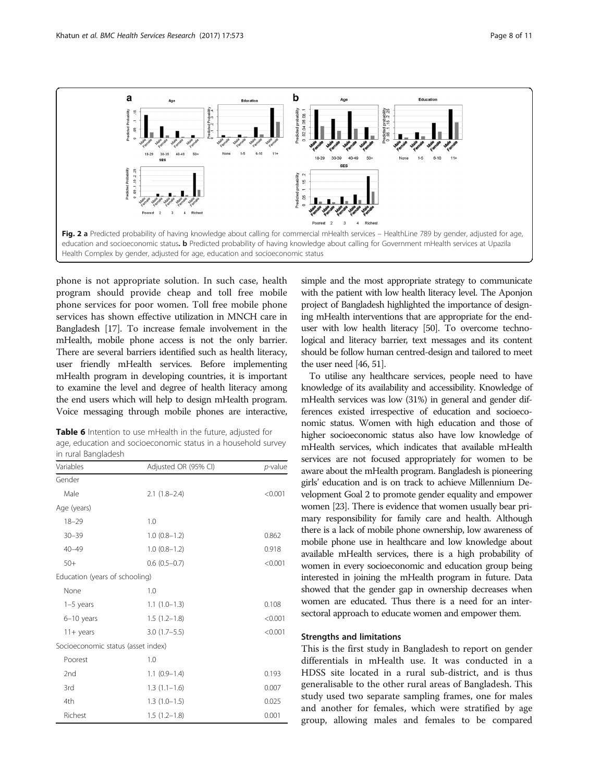<span id="page-7-0"></span>

phone is not appropriate solution. In such case, health program should provide cheap and toll free mobile phone services for poor women. Toll free mobile phone services has shown effective utilization in MNCH care in Bangladesh [\[17](#page-9-0)]. To increase female involvement in the mHealth, mobile phone access is not the only barrier. There are several barriers identified such as health literacy, user friendly mHealth services. Before implementing mHealth program in developing countries, it is important to examine the level and degree of health literacy among the end users which will help to design mHealth program. Voice messaging through mobile phones are interactive,

Table 6 Intention to use mHealth in the future, adjusted for age, education and socioeconomic status in a household survey in rural Bangladesh

| Variables                          | Adjusted OR (95% CI) | $p$ -value |
|------------------------------------|----------------------|------------|
| Gender                             |                      |            |
| Male                               | $2.1(1.8-2.4)$       | < 0.001    |
| Age (years)                        |                      |            |
| $18 - 29$                          | 1.0                  |            |
| $30 - 39$                          | $1.0(0.8-1.2)$       | 0.862      |
| $40 - 49$                          | $1.0(0.8-1.2)$       | 0.918      |
| $50+$                              | $0.6(0.5-0.7)$       | < 0.001    |
| Education (years of schooling)     |                      |            |
| None                               | 1.0                  |            |
| $1-5$ years                        | $1.1(1.0-1.3)$       | 0.108      |
| $6-10$ years                       | $1.5(1.2-1.8)$       | < 0.001    |
| $11+$ years                        | $3.0(1.7-5.5)$       | < 0.001    |
| Socioeconomic status (asset index) |                      |            |
| Poorest                            | 1.0                  |            |
| 2 <sub>nd</sub>                    | $1.1(0.9-1.4)$       | 0.193      |
| 3rd                                | $1.3(1.1-1.6)$       | 0.007      |
| 4th                                | $1.3(1.0-1.5)$       | 0.025      |
| Richest                            | $1.5(1.2-1.8)$       | 0.001      |

simple and the most appropriate strategy to communicate with the patient with low health literacy level. The Aponjon project of Bangladesh highlighted the importance of designing mHealth interventions that are appropriate for the enduser with low health literacy [[50\]](#page-10-0). To overcome technological and literacy barrier, text messages and its content should be follow human centred-design and tailored to meet the user need [\[46, 51\]](#page-10-0).

To utilise any healthcare services, people need to have knowledge of its availability and accessibility. Knowledge of mHealth services was low (31%) in general and gender differences existed irrespective of education and socioeconomic status. Women with high education and those of higher socioeconomic status also have low knowledge of mHealth services, which indicates that available mHealth services are not focused appropriately for women to be aware about the mHealth program. Bangladesh is pioneering girls' education and is on track to achieve Millennium Development Goal 2 to promote gender equality and empower women [\[23](#page-9-0)]. There is evidence that women usually bear primary responsibility for family care and health. Although there is a lack of mobile phone ownership, low awareness of mobile phone use in healthcare and low knowledge about available mHealth services, there is a high probability of women in every socioeconomic and education group being interested in joining the mHealth program in future. Data showed that the gender gap in ownership decreases when women are educated. Thus there is a need for an intersectoral approach to educate women and empower them.

#### Strengths and limitations

This is the first study in Bangladesh to report on gender differentials in mHealth use. It was conducted in a HDSS site located in a rural sub-district, and is thus generalisable to the other rural areas of Bangladesh. This study used two separate sampling frames, one for males and another for females, which were stratified by age group, allowing males and females to be compared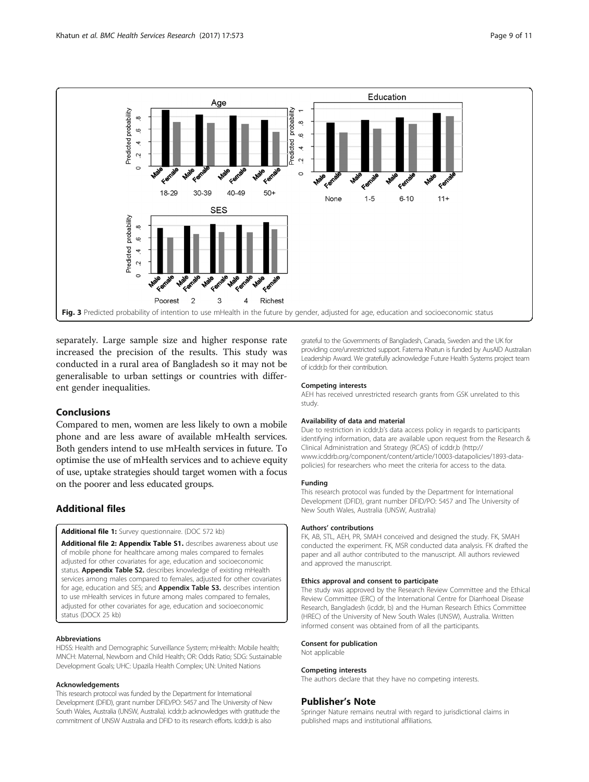<span id="page-8-0"></span>

separately. Large sample size and higher response rate increased the precision of the results. This study was conducted in a rural area of Bangladesh so it may not be generalisable to urban settings or countries with different gender inequalities.

## Conclusions

Compared to men, women are less likely to own a mobile phone and are less aware of available mHealth services. Both genders intend to use mHealth services in future. To optimise the use of mHealth services and to achieve equity of use, uptake strategies should target women with a focus on the poorer and less educated groups.

## Additional files

[Additional file 1:](dx.doi.org/10.1186/s12913-017-2523-6) Survey questionnaire. (DOC 572 kb)

[Additional file 2: Appendix Table S1.](dx.doi.org/10.1186/s12913-017-2523-6) describes awareness about use of mobile phone for healthcare among males compared to females adjusted for other covariates for age, education and socioeconomic status. Appendix Table S2. describes knowledge of existing mHealth services among males compared to females, adjusted for other covariates for age, education and SES; and Appendix Table S3. describes intention to use mHealth services in future among males compared to females, adjusted for other covariates for age, education and socioeconomic status (DOCX 25 kb)

#### Abbreviations

HDSS: Health and Demographic Surveillance System; mHealth: Mobile health; MNCH: Maternal, Newborn and Child Health; OR: Odds Ratio; SDG: Sustainable Development Goals; UHC: Upazila Health Complex; UN: United Nations

#### Acknowledgements

This research protocol was funded by the Department for International Development (DFID), grant number DFID/PO: 5457 and The University of New South Wales, Australia (UNSW, Australia). icddr,b acknowledges with gratitude the commitment of UNSW Australia and DFID to its research efforts. Icddr,b is also

grateful to the Governments of Bangladesh, Canada, Sweden and the UK for providing core/unrestricted support. Fatema Khatun is funded by AusAID Australian Leadership Award. We gratefully acknowledge Future Health Systems project team of icddr,b for their contribution.

#### Competing interests

AEH has received unrestricted research grants from GSK unrelated to this study.

#### Availability of data and material

Due to restriction in icddr,b's data access policy in regards to participants identifying information, data are available upon request from the Research & Clinical Administration and Strategy (RCAS) of icddr,b ([http://](http://www.icddrb.org/component/content/article/10003-datapolicies/1893-data-policies) [www.icddrb.org/component/content/article/10003-datapolicies/1893-data](http://www.icddrb.org/component/content/article/10003-datapolicies/1893-data-policies)[policies](http://www.icddrb.org/component/content/article/10003-datapolicies/1893-data-policies)) for researchers who meet the criteria for access to the data.

#### Funding

This research protocol was funded by the Department for International Development (DFID), grant number DFID/PO: 5457 and The University of New South Wales, Australia (UNSW, Australia)

#### Authors' contributions

FK, AB, STL, AEH, PR, SMAH conceived and designed the study. FK, SMAH conducted the experiment. FK, MSR conducted data analysis. FK drafted the paper and all author contributed to the manuscript. All authors reviewed and approved the manuscript.

#### Ethics approval and consent to participate

The study was approved by the Research Review Committee and the Ethical Review Committee (ERC) of the International Centre for Diarrhoeal Disease Research, Bangladesh (icddr, b) and the Human Research Ethics Committee (HREC) of the University of New South Wales (UNSW), Australia. Written informed consent was obtained from of all the participants.

#### Consent for publication

Not applicable

### Competing interests

The authors declare that they have no competing interests.

#### Publisher's Note

Springer Nature remains neutral with regard to jurisdictional claims in published maps and institutional affiliations.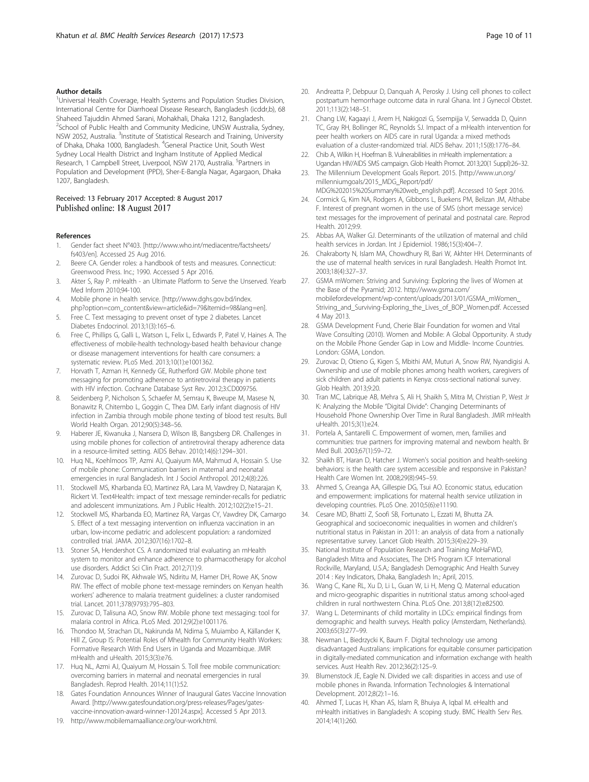#### <span id="page-9-0"></span>Author details

<sup>1</sup>Universal Health Coverage, Health Systems and Population Studies Division, International Centre for Diarrhoeal Disease Research, Bangladesh (icddr,b), 68 Shaheed Tajuddin Ahmed Sarani, Mohakhali, Dhaka 1212, Bangladesh. <sup>2</sup>School of Public Health and Community Medicine, UNSW Australia, Sydney, NSW 2052, Australia. <sup>3</sup>Institute of Statistical Research and Training, University of Dhaka, Dhaka 1000, Bangladesh. <sup>4</sup>General Practice Unit, South West Sydney Local Health District and Ingham Institute of Applied Medical Research, 1 Campbell Street, Liverpool, NSW 2170, Australia. <sup>5</sup>Partners in Population and Development (PPD), Sher-E-Bangla Nagar, Agargaon, Dhaka 1207, Bangladesh.

#### Received: 13 February 2017 Accepted: 8 August 2017 Published online: 18 August 2017

#### References

- 1. Gender fact sheet N°403. [[http://www.who.int/mediacentre/factsheets/](http://www.who.int/mediacentre/factsheets/fs403/en) [fs403/en](http://www.who.int/mediacentre/factsheets/fs403/en)]. Accessed 25 Aug 2016.
- 2. Beere CA. Gender roles: a handbook of tests and measures. Connecticut: Greenwood Press. Inc.; 1990. Accessed 5 Apr 2016.
- 3. Akter S, Ray P. mHealth an Ultimate Platform to Serve the Unserved. Yearb Med Inform 2010;94-100.
- 4. Mobile phone in health service. [[http://www.dghs.gov.bd/index.](http://www.dghs.gov.bd/index.php?option=com_content&view=article&id=79&Itemid=98&lang=en) [php?option=com\\_content&view=article&id=79&Itemid=98&lang=en\]](http://www.dghs.gov.bd/index.php?option=com_content&view=article&id=79&Itemid=98&lang=en).
- Free C. Text messaging to prevent onset of type 2 diabetes. Lancet Diabetes Endocrinol. 2013;1(3):165–6.
- 6. Free C, Phillips G, Galli L, Watson L, Felix L, Edwards P, Patel V, Haines A. The effectiveness of mobile-health technology-based health behaviour change or disease management interventions for health care consumers: a systematic review. PLoS Med. 2013;10(1):e1001362.
- 7. Horvath T, Azman H, Kennedy GE, Rutherford GW. Mobile phone text messaging for promoting adherence to antiretroviral therapy in patients with HIV infection. Cochrane Database Syst Rev. 2012;3:CD009756.
- 8. Seidenberg P, Nicholson S, Schaefer M, Semrau K, Bweupe M, Masese N, Bonawitz R, Chitembo L, Goggin C, Thea DM. Early infant diagnosis of HIV infection in Zambia through mobile phone texting of blood test results. Bull World Health Organ. 2012;90(5):348–56.
- 9. Haberer JE, Kiwanuka J, Nansera D, Wilson IB, Bangsberg DR. Challenges in using mobile phones for collection of antiretroviral therapy adherence data in a resource-limited setting. AIDS Behav. 2010;14(6):1294–301.
- 10. Huq NL, Koehlmoos TP, Azmi AJ, Quaiyum MA, Mahmud A, Hossain S. Use of mobile phone: Communication barriers in maternal and neonatal emergencies in rural Bangladesh. Int J Sociol Anthropol. 2012;4(8):226.
- 11. Stockwell MS, Kharbanda EO, Martinez RA, Lara M, Vawdrey D, Natarajan K, Rickert VI. Text4Health: impact of text message reminder-recalls for pediatric and adolescent immunizations. Am J Public Health. 2012;102(2):e15–21.
- 12. Stockwell MS, Kharbanda EO, Martinez RA, Vargas CY, Vawdrey DK, Camargo S. Effect of a text messaging intervention on influenza vaccination in an urban, low-income pediatric and adolescent population: a randomized controlled trial. JAMA. 2012;307(16):1702–8.
- 13. Stoner SA, Hendershot CS. A randomized trial evaluating an mHealth system to monitor and enhance adherence to pharmacotherapy for alcohol use disorders. Addict Sci Clin Pract. 2012;7(1):9.
- 14. Zurovac D, Sudoi RK, Akhwale WS, Ndiritu M, Hamer DH, Rowe AK, Snow RW. The effect of mobile phone text-message reminders on Kenyan health workers' adherence to malaria treatment guidelines: a cluster randomised trial. Lancet. 2011;378(9793):795–803.
- 15. Zurovac D, Talisuna AO, Snow RW. Mobile phone text messaging: tool for malaria control in Africa. PLoS Med. 2012;9(2):e1001176.
- 16. Thondoo M, Strachan DL, Nakirunda M, Ndima S, Muiambo A, Källander K, Hill Z, Group IS: Potential Roles of Mhealth for Community Health Workers: Formative Research With End Users in Uganda and Mozambique. JMIR mHealth and uHealth. 2015;3(3):e76.
- 17. Huq NL, Azmi AJ, Quaiyum M, Hossain S. Toll free mobile communication: overcoming barriers in maternal and neonatal emergencies in rural Bangladesh. Reprod Health. 2014;11(1):52.
- 18. Gates Foundation Announces Winner of Inaugural Gates Vaccine Innovation Award. [\[http://www.gatesfoundation.org/press-releases/Pages/gates](http://www.gatesfoundation.org/press-releases/Pages/gates-vaccine-innovation-award-winner-120124.aspx)[vaccine-innovation-award-winner-120124.aspx](http://www.gatesfoundation.org/press-releases/Pages/gates-vaccine-innovation-award-winner-120124.aspx)]. Accessed 5 Apr 2013.
- 19.<http://www.mobilemamaalliance.org/our-work.html>.
- 20. Andreatta P, Debpuur D, Danquah A, Perosky J. Using cell phones to collect postpartum hemorrhage outcome data in rural Ghana. Int J Gynecol Obstet. 2011;113(2):148–51.
- 21. Chang LW, Kagaayi J, Arem H, Nakigozi G, Ssempijja V, Serwadda D, Quinn TC, Gray RH, Bollinger RC, Reynolds SJ. Impact of a mHealth intervention for peer health workers on AIDS care in rural Uganda: a mixed methods evaluation of a cluster-randomized trial. AIDS Behav. 2011;15(8):1776–84.
- 22. Chib A, Wilkin H, Hoefman B. Vulnerabilities in mHealth implementation: a Ugandan HIV/AIDS SMS campaign. Glob Health Promot. 2013;20(1 Suppl):26–32.
- 23. The Millennium Development Goals Report. 2015. [[http://www.un.org/](http://www.un.org/millenniumgoals/2015_MDG_Report/pdf/MDG%202015%20Summary%20web_english.pdf) [millenniumgoals/2015\\_MDG\\_Report/pdf/](http://www.un.org/millenniumgoals/2015_MDG_Report/pdf/MDG%202015%20Summary%20web_english.pdf)
- [MDG%202015%20Summary%20web\\_english.pdf\]](http://www.un.org/millenniumgoals/2015_MDG_Report/pdf/MDG%202015%20Summary%20web_english.pdf). Accessed 10 Sept 2016. 24. Cormick G, Kim NA, Rodgers A, Gibbons L, Buekens PM, Belizan JM, Althabe
- F. Interest of pregnant women in the use of SMS (short message service) text messages for the improvement of perinatal and postnatal care. Reprod Health. 2012;9:9.
- 25. Abbas AA, Walker GJ. Determinants of the utilization of maternal and child health services in Jordan. Int J Epidemiol. 1986;15(3):404–7.
- 26. Chakraborty N, Islam MA, Chowdhury RI, Bari W, Akhter HH. Determinants of the use of maternal health services in rural Bangladesh. Health Promot Int. 2003;18(4):327–37.
- 27. GSMA mWomen: Striving and Surviving: Exploring the lives of Women at the Base of the Pyramid; 2012. [http://www.gsma.com/](http://www.gsma.com/mobilefordevelopment/wp-content/uploads/2013/01/GSMA_mWomen_Striving_and_Surviving-Exploring_the_Lives_of_BOP_Women.pdf) [mobilefordevelopment/wp-content/uploads/2013/01/GSMA\\_mWomen\\_](http://www.gsma.com/mobilefordevelopment/wp-content/uploads/2013/01/GSMA_mWomen_Striving_and_Surviving-Exploring_the_Lives_of_BOP_Women.pdf) [Striving\\_and\\_Surviving-Exploring\\_the\\_Lives\\_of\\_BOP\\_Women.pdf.](http://www.gsma.com/mobilefordevelopment/wp-content/uploads/2013/01/GSMA_mWomen_Striving_and_Surviving-Exploring_the_Lives_of_BOP_Women.pdf) Accessed 4 May 2013.
- 28. GSMA Development Fund, Cherie Blair Foundation for women and Vital Wave Consulting (2010). Women and Mobile: A Global Opportunity. A study on the Mobile Phone Gender Gap in Low and Middle- Income Countries. London: GSMA, London.
- 29. Zurovac D, Otieno G, Kigen S, Mbithi AM, Muturi A, Snow RW, Nyandigisi A. Ownership and use of mobile phones among health workers, caregivers of sick children and adult patients in Kenya: cross-sectional national survey. Glob Health. 2013;9:20.
- 30. Tran MC, Labrique AB, Mehra S, Ali H, Shaikh S, Mitra M, Christian P, West Jr K: Analyzing the Mobile "Digital Divide": Changing Determinants of Household Phone Ownership Over Time in Rural Bangladesh. JMIR mHealth uHealth. 2015;3(1):e24.
- 31. Portela A, Santarelli C. Empowerment of women, men, families and communities: true partners for improving maternal and newborn health. Br Med Bull. 2003;67(1):59–72.
- 32. Shaikh BT, Haran D, Hatcher J. Women's social position and health-seeking behaviors: is the health care system accessible and responsive in Pakistan? Health Care Women Int. 2008;29(8):945–59.
- 33. Ahmed S, Creanga AA, Gillespie DG, Tsui AO. Economic status, education and empowerment: implications for maternal health service utilization in developing countries. PLoS One. 2010;5(6):e11190.
- 34. Cesare MD, Bhatti Z, Soofi SB, Fortunato L, Ezzati M, Bhutta ZA. Geographical and socioeconomic inequalities in women and children's nutritional status in Pakistan in 2011: an analysis of data from a nationally representative survey. Lancet Glob Health. 2015;3(4):e229–39.
- 35. National Institute of Population Research and Training MoHaFWD, Bangladesh Mitra and Associates, The DHS Program ICF International Rockville, Maryland, U.S.A,: Bangladesh Demographic And Health Survey 2014 : Key Indicators, Dhaka, Bangladesh In.; April, 2015.
- 36. Wang C, Kane RL, Xu D, Li L, Guan W, Li H, Meng Q. Maternal education and micro-geographic disparities in nutritional status among school-aged children in rural northwestern China. PLoS One. 2013;8(12):e82500.
- 37. Wang L. Determinants of child mortality in LDCs: empirical findings from demographic and health surveys. Health policy (Amsterdam, Netherlands). 2003;65(3):277–99.
- 38. Newman L, Biedrzycki K, Baum F. Digital technology use among disadvantaged Australians: implications for equitable consumer participation in digitally-mediated communication and information exchange with health services. Aust Health Rev. 2012;36(2):125–9.
- 39. Blumenstock JE, Eagle N. Divided we call: disparities in access and use of mobile phones in Rwanda. Information Technologies & International Development. 2012;8(2):1–16.
- 40. Ahmed T, Lucas H, Khan AS, Islam R, Bhuiya A, Iqbal M. eHealth and mHealth initiatives in Bangladesh: A scoping study. BMC Health Serv Res. 2014;14(1):260.